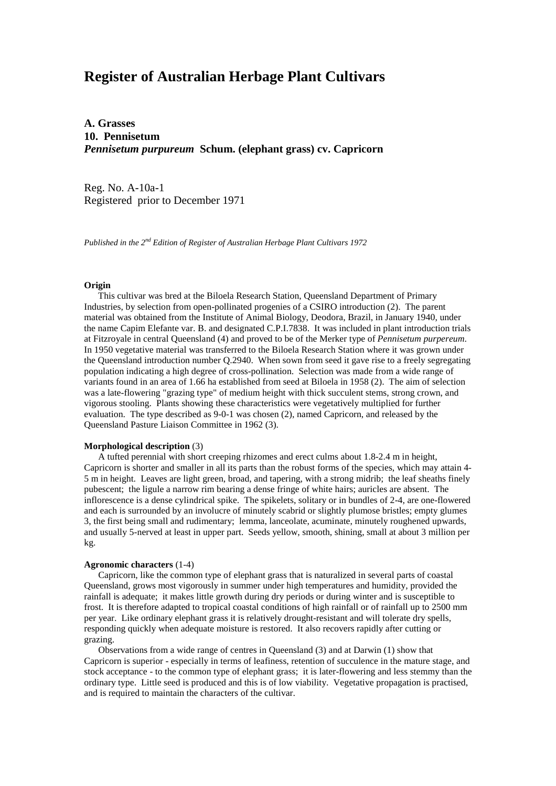# **Register of Australian Herbage Plant Cultivars**

**A. Grasses 10. Pennisetum** *Pennisetum purpureum* **Schum. (elephant grass) cv. Capricorn**

Reg. No. A-10a-1 Registered prior to December 1971

*Published in the 2nd Edition of Register of Australian Herbage Plant Cultivars 1972*

### **Origin**

 This cultivar was bred at the Biloela Research Station, Queensland Department of Primary Industries, by selection from open-pollinated progenies of a CSIRO introduction (2). The parent material was obtained from the Institute of Animal Biology, Deodora, Brazil, in January 1940, under the name Capim Elefante var. B. and designated C.P.I.7838. It was included in plant introduction trials at Fitzroyale in central Queensland (4) and proved to be of the Merker type of *Pennisetum purpereum*. In 1950 vegetative material was transferred to the Biloela Research Station where it was grown under the Queensland introduction number Q.2940. When sown from seed it gave rise to a freely segregating population indicating a high degree of cross-pollination. Selection was made from a wide range of variants found in an area of 1.66 ha established from seed at Biloela in 1958 (2). The aim of selection was a late-flowering "grazing type" of medium height with thick succulent stems, strong crown, and vigorous stooling. Plants showing these characteristics were vegetatively multiplied for further evaluation. The type described as 9-0-1 was chosen (2), named Capricorn, and released by the Queensland Pasture Liaison Committee in 1962 (3).

#### **Morphological description** (3)

 A tufted perennial with short creeping rhizomes and erect culms about 1.8-2.4 m in height, Capricorn is shorter and smaller in all its parts than the robust forms of the species, which may attain 4- 5 m in height. Leaves are light green, broad, and tapering, with a strong midrib; the leaf sheaths finely pubescent; the ligule a narrow rim bearing a dense fringe of white hairs; auricles are absent. The inflorescence is a dense cylindrical spike. The spikelets, solitary or in bundles of 2-4, are one-flowered and each is surrounded by an involucre of minutely scabrid or slightly plumose bristles; empty glumes 3, the first being small and rudimentary; lemma, lanceolate, acuminate, minutely roughened upwards, and usually 5-nerved at least in upper part. Seeds yellow, smooth, shining, small at about 3 million per kg.

#### **Agronomic characters** (1-4)

 Capricorn, like the common type of elephant grass that is naturalized in several parts of coastal Queensland, grows most vigorously in summer under high temperatures and humidity, provided the rainfall is adequate; it makes little growth during dry periods or during winter and is susceptible to frost. It is therefore adapted to tropical coastal conditions of high rainfall or of rainfall up to 2500 mm per year. Like ordinary elephant grass it is relatively drought-resistant and will tolerate dry spells, responding quickly when adequate moisture is restored. It also recovers rapidly after cutting or grazing.

 Observations from a wide range of centres in Queensland (3) and at Darwin (1) show that Capricorn is superior - especially in terms of leafiness, retention of succulence in the mature stage, and stock acceptance - to the common type of elephant grass; it is later-flowering and less stemmy than the ordinary type. Little seed is produced and this is of low viability. Vegetative propagation is practised, and is required to maintain the characters of the cultivar.